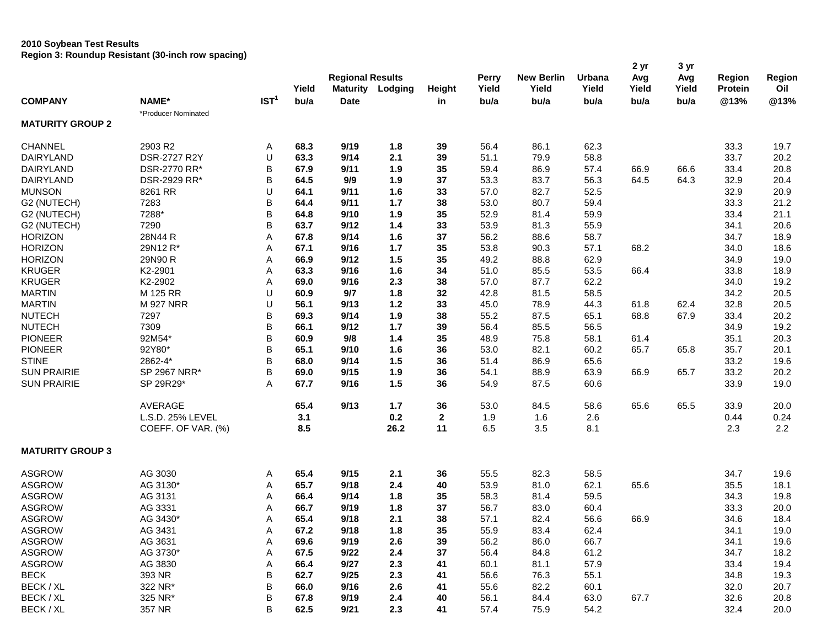# **2010 Soybean Test Results**

**Region 3: Roundup Resistant (30-inch row spacing)**

|                         |                     |                  |       |                         |         |              |              |                   |        | 2 yr  | 3 yr  |               |        |
|-------------------------|---------------------|------------------|-------|-------------------------|---------|--------------|--------------|-------------------|--------|-------|-------|---------------|--------|
|                         |                     |                  |       | <b>Regional Results</b> |         |              | <b>Perry</b> | <b>New Berlin</b> | Urbana | Avg   | Avg   | <b>Region</b> | Region |
|                         |                     |                  | Yield | <b>Maturity</b>         | Lodging | Height       | Yield        | Yield             | Yield  | Yield | Yield | Protein       | Oil    |
| <b>COMPANY</b>          | NAME*               | IST <sup>1</sup> | bu/a  | <b>Date</b>             |         | in           | bu/a         | bu/a              | bu/a   | bu/a  | bu/a  | @13%          | @13%   |
| <b>MATURITY GROUP 2</b> | *Producer Nominated |                  |       |                         |         |              |              |                   |        |       |       |               |        |
| <b>CHANNEL</b>          | 2903 R2             | Α                | 68.3  | 9/19                    | 1.8     | 39           | 56.4         | 86.1              | 62.3   |       |       | 33.3          | 19.7   |
| <b>DAIRYLAND</b>        | DSR-2727 R2Y        | U                | 63.3  | 9/14                    | 2.1     | 39           | 51.1         | 79.9              | 58.8   |       |       | 33.7          | 20.2   |
| <b>DAIRYLAND</b>        | DSR-2770 RR*        | B                | 67.9  | 9/11                    | 1.9     | 35           | 59.4         | 86.9              | 57.4   | 66.9  | 66.6  | 33.4          | 20.8   |
| <b>DAIRYLAND</b>        | DSR-2929 RR*        | B                | 64.5  | 9/9                     | 1.9     | 37           | 53.3         | 83.7              | 56.3   | 64.5  | 64.3  | 32.9          | 20.4   |
| <b>MUNSON</b>           | 8261 RR             | U                | 64.1  | 9/11                    | 1.6     | 33           | 57.0         | 82.7              | 52.5   |       |       | 32.9          | 20.9   |
| G2 (NUTECH)             | 7283                | B                | 64.4  | 9/11                    | $1.7$   | 38           | 53.0         | 80.7              | 59.4   |       |       | 33.3          | 21.2   |
| G2 (NUTECH)             | 7288*               | B                | 64.8  | 9/10                    | 1.9     | 35           | 52.9         | 81.4              | 59.9   |       |       | 33.4          | 21.1   |
| G2 (NUTECH)             | 7290                | B                | 63.7  | 9/12                    | 1.4     | 33           | 53.9         | 81.3              | 55.9   |       |       | 34.1          | 20.6   |
| <b>HORIZON</b>          | 28N44 R             | Α                | 67.8  | 9/14                    | 1.6     | 37           | 56.2         | 88.6              | 58.7   |       |       | 34.7          | 18.9   |
| <b>HORIZON</b>          | 29N12 R*            | Α                | 67.1  | 9/16                    | 1.7     | 35           | 53.8         | 90.3              | 57.1   | 68.2  |       | 34.0          | 18.6   |
| <b>HORIZON</b>          | 29N90 R             | Α                | 66.9  | 9/12                    | 1.5     | 35           | 49.2         | 88.8              | 62.9   |       |       | 34.9          | 19.0   |
| <b>KRUGER</b>           | K2-2901             | Α                | 63.3  | 9/16                    | 1.6     | 34           | 51.0         | 85.5              | 53.5   | 66.4  |       | 33.8          | 18.9   |
| <b>KRUGER</b>           | K2-2902             | Α                | 69.0  | 9/16                    | 2.3     | 38           | 57.0         | 87.7              | 62.2   |       |       | 34.0          | 19.2   |
| <b>MARTIN</b>           | M 125 RR            | U                | 60.9  | 9/7                     | 1.8     | 32           | 42.8         | 81.5              | 58.5   |       |       | 34.2          | 20.5   |
| <b>MARTIN</b>           | <b>M 927 NRR</b>    | U                | 56.1  | 9/13                    | $1.2$   | 33           | 45.0         | 78.9              | 44.3   | 61.8  | 62.4  | 32.8          | 20.5   |
| <b>NUTECH</b>           | 7297                | B                | 69.3  | 9/14                    | 1.9     | 38           | 55.2         | 87.5              | 65.1   | 68.8  | 67.9  | 33.4          | 20.2   |
| <b>NUTECH</b>           | 7309                | B                | 66.1  | 9/12                    | $1.7$   | 39           | 56.4         | 85.5              | 56.5   |       |       | 34.9          | 19.2   |
| <b>PIONEER</b>          | 92M54*              | B                | 60.9  | 9/8                     | 1.4     | 35           | 48.9         | 75.8              | 58.1   | 61.4  |       | 35.1          | 20.3   |
| <b>PIONEER</b>          | 92Y80*              | B                | 65.1  | 9/10                    | 1.6     | 36           | 53.0         | 82.1              | 60.2   | 65.7  | 65.8  | 35.7          | 20.1   |
| <b>STINE</b>            | 2862-4*             | B                | 68.0  | 9/14                    | 1.5     | 36           | 51.4         | 86.9              | 65.6   |       |       | 33.2          | 19.6   |
| <b>SUN PRAIRIE</b>      | SP 2967 NRR*        | B                | 69.0  | 9/15                    | 1.9     | 36           | 54.1         | 88.9              | 63.9   | 66.9  | 65.7  | 33.2          | 20.2   |
| <b>SUN PRAIRIE</b>      | SP 29R29*           | Α                | 67.7  | 9/16                    | 1.5     | 36           | 54.9         | 87.5              | 60.6   |       |       | 33.9          | 19.0   |
|                         | AVERAGE             |                  | 65.4  | 9/13                    | $1.7$   | 36           | 53.0         | 84.5              | 58.6   | 65.6  | 65.5  | 33.9          | 20.0   |
|                         | L.S.D. 25% LEVEL    |                  | 3.1   |                         | 0.2     | $\mathbf{2}$ | 1.9          | 1.6               | 2.6    |       |       | 0.44          | 0.24   |
|                         | COEFF. OF VAR. (%)  |                  | 8.5   |                         | 26.2    | 11           | 6.5          | 3.5               | 8.1    |       |       | 2.3           | 2.2    |
| <b>MATURITY GROUP 3</b> |                     |                  |       |                         |         |              |              |                   |        |       |       |               |        |
| <b>ASGROW</b>           | AG 3030             | Α                | 65.4  | 9/15                    | 2.1     | 36           | 55.5         | 82.3              | 58.5   |       |       | 34.7          | 19.6   |
| <b>ASGROW</b>           | AG 3130*            | Α                | 65.7  | 9/18                    | 2.4     | 40           | 53.9         | 81.0              | 62.1   | 65.6  |       | 35.5          | 18.1   |
| <b>ASGROW</b>           | AG 3131             | Α                | 66.4  | 9/14                    | 1.8     | 35           | 58.3         | 81.4              | 59.5   |       |       | 34.3          | 19.8   |
| <b>ASGROW</b>           | AG 3331             | Α                | 66.7  | 9/19                    | 1.8     | 37           | 56.7         | 83.0              | 60.4   |       |       | 33.3          | 20.0   |
| <b>ASGROW</b>           | AG 3430*            | Α                | 65.4  | 9/18                    | 2.1     | 38           | 57.1         | 82.4              | 56.6   | 66.9  |       | 34.6          | 18.4   |
| ASGROW                  | AG 3431             | Α                | 67.2  | 9/18                    | 1.8     | 35           | 55.9         | 83.4              | 62.4   |       |       | 34.1          | 19.0   |
| <b>ASGROW</b>           | AG 3631             | Α                | 69.6  | 9/19                    | 2.6     | 39           | 56.2         | 86.0              | 66.7   |       |       | 34.1          | 19.6   |
| <b>ASGROW</b>           | AG 3730*            | Α                | 67.5  | 9/22                    | 2.4     | 37           | 56.4         | 84.8              | 61.2   |       |       | 34.7          | 18.2   |
| <b>ASGROW</b>           | AG 3830             | Α                | 66.4  | 9/27                    | 2.3     | 41           | 60.1         | 81.1              | 57.9   |       |       | 33.4          | 19.4   |
| <b>BECK</b>             | 393 NR              | B                | 62.7  | 9/25                    | 2.3     | 41           | 56.6         | 76.3              | 55.1   |       |       | 34.8          | 19.3   |
| BECK / XL               | 322 NR*             | B                | 66.0  | 9/16                    | 2.6     | 41           | 55.6         | 82.2              | 60.1   |       |       | 32.0          | 20.7   |
| BECK / XL               | 325 NR*             | В                | 67.8  | 9/19                    | $2.4\,$ | 40           | 56.1         | 84.4              | 63.0   | 67.7  |       | 32.6          | 20.8   |
| BECK / XL               | 357 NR              | B                | 62.5  | 9/21                    | 2.3     | 41           | 57.4         | 75.9              | 54.2   |       |       | 32.4          | 20.0   |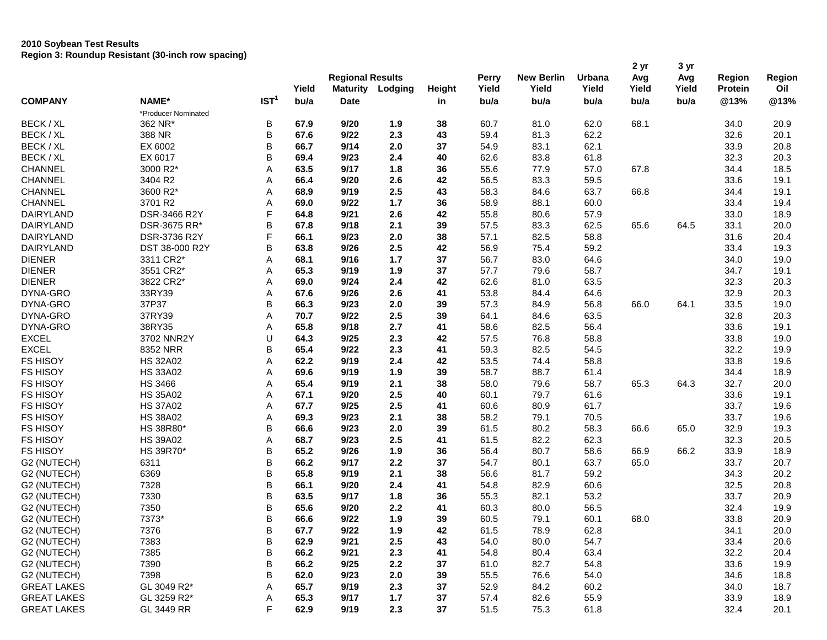## **2010 Soybean Test Results Region 3: Roundup Resistant (30-inch row spacing)**

|                    |                     |                  |       | <b>Regional Results</b> |         |        | Perry | <b>New Berlin</b> | Urbana | 2 yr<br>Avg | 3 yr<br>Avg | <b>Region</b>  | Region |
|--------------------|---------------------|------------------|-------|-------------------------|---------|--------|-------|-------------------|--------|-------------|-------------|----------------|--------|
|                    |                     |                  | Yield | <b>Maturity</b>         | Lodging | Height | Yield | Yield             | Yield  | Yield       | Yield       | <b>Protein</b> | Oil    |
| <b>COMPANY</b>     | NAME*               | IST <sup>1</sup> | bu/a  | <b>Date</b>             |         | in     | bu/a  | bu/a              | bu/a   | bu/a        | bu/a        | @13%           | @13%   |
|                    | *Producer Nominated |                  |       |                         |         |        |       |                   |        |             |             |                |        |
| BECK / XL          | 362 NR*             | В                | 67.9  | 9/20                    | 1.9     | 38     | 60.7  | 81.0              | 62.0   | 68.1        |             | 34.0           | 20.9   |
| BECK / XL          | 388 NR              | B                | 67.6  | 9/22                    | 2.3     | 43     | 59.4  | 81.3              | 62.2   |             |             | 32.6           | 20.1   |
| BECK / XL          | EX 6002             | B                | 66.7  | 9/14                    | 2.0     | 37     | 54.9  | 83.1              | 62.1   |             |             | 33.9           | 20.8   |
| BECK / XL          | EX 6017             | B                | 69.4  | 9/23                    | 2.4     | 40     | 62.6  | 83.8              | 61.8   |             |             | 32.3           | 20.3   |
| <b>CHANNEL</b>     | 3000 R2*            | Α                | 63.5  | 9/17                    | 1.8     | 36     | 55.6  | 77.9              | 57.0   | 67.8        |             | 34.4           | 18.5   |
| <b>CHANNEL</b>     | 3404 R2             | Α                | 66.4  | 9/20                    | 2.6     | 42     | 56.5  | 83.3              | 59.5   |             |             | 33.6           | 19.1   |
| <b>CHANNEL</b>     | 3600 R2*            | Α                | 68.9  | 9/19                    | 2.5     | 43     | 58.3  | 84.6              | 63.7   | 66.8        |             | 34.4           | 19.1   |
| <b>CHANNEL</b>     | 3701 R2             | Α                | 69.0  | 9/22                    | $1.7$   | 36     | 58.9  | 88.1              | 60.0   |             |             | 33.4           | 19.4   |
| <b>DAIRYLAND</b>   | DSR-3466 R2Y        | F                | 64.8  | 9/21                    | 2.6     | 42     | 55.8  | 80.6              | 57.9   |             |             | 33.0           | 18.9   |
| <b>DAIRYLAND</b>   | DSR-3675 RR*        | B                | 67.8  | 9/18                    | 2.1     | 39     | 57.5  | 83.3              | 62.5   | 65.6        | 64.5        | 33.1           | 20.0   |
| DAIRYLAND          | DSR-3736 R2Y        | F                | 66.1  | 9/23                    | 2.0     | 38     | 57.1  | 82.5              | 58.8   |             |             | 31.6           | 20.4   |
| <b>DAIRYLAND</b>   | DST 38-000 R2Y      | B                | 63.8  | 9/26                    | 2.5     | 42     | 56.9  | 75.4              | 59.2   |             |             | 33.4           | 19.3   |
| <b>DIENER</b>      | 3311 CR2*           | Α                | 68.1  | 9/16                    | 1.7     | 37     | 56.7  | 83.0              | 64.6   |             |             | 34.0           | 19.0   |
| <b>DIENER</b>      | 3551 CR2*           | Α                | 65.3  | 9/19                    | 1.9     | 37     | 57.7  | 79.6              | 58.7   |             |             | 34.7           | 19.1   |
| <b>DIENER</b>      | 3822 CR2*           | Α                | 69.0  | 9/24                    | 2.4     | 42     | 62.6  | 81.0              | 63.5   |             |             | 32.3           | 20.3   |
| DYNA-GRO           | 33RY39              | Α                | 67.6  | 9/26                    | 2.6     | 41     | 53.8  | 84.4              | 64.6   |             |             | 32.9           | 20.3   |
| DYNA-GRO           | 37P37               | В                | 66.3  | 9/23                    | 2.0     | 39     | 57.3  | 84.9              | 56.8   | 66.0        | 64.1        | 33.5           | 19.0   |
| DYNA-GRO           | 37RY39              | Α                | 70.7  | 9/22                    | 2.5     | 39     | 64.1  | 84.6              | 63.5   |             |             | 32.8           | 20.3   |
| DYNA-GRO           | 38RY35              | Α                | 65.8  | 9/18                    | 2.7     | 41     | 58.6  | 82.5              | 56.4   |             |             | 33.6           | 19.1   |
| <b>EXCEL</b>       | 3702 NNR2Y          | U                | 64.3  | 9/25                    | 2.3     | 42     | 57.5  | 76.8              | 58.8   |             |             | 33.8           | 19.0   |
| <b>EXCEL</b>       | 8352 NRR            | В                | 65.4  | 9/22                    | 2.3     | 41     | 59.3  | 82.5              | 54.5   |             |             | 32.2           | 19.9   |
| <b>FS HISOY</b>    | <b>HS 32A02</b>     | Α                | 62.2  | 9/19                    | 2.4     | 42     | 53.5  | 74.4              | 58.8   |             |             | 33.8           | 19.6   |
| <b>FS HISOY</b>    | <b>HS 33A02</b>     | Α                | 69.6  | 9/19                    | 1.9     | 39     | 58.7  | 88.7              | 61.4   |             |             | 34.4           | 18.9   |
| <b>FS HISOY</b>    | <b>HS 3466</b>      | Α                | 65.4  | 9/19                    | 2.1     | 38     | 58.0  | 79.6              | 58.7   | 65.3        | 64.3        | 32.7           | 20.0   |
| <b>FS HISOY</b>    | <b>HS 35A02</b>     | Α                | 67.1  | 9/20                    | 2.5     | 40     | 60.1  | 79.7              | 61.6   |             |             | 33.6           | 19.1   |
| <b>FS HISOY</b>    | <b>HS 37A02</b>     | Α                | 67.7  | 9/25                    | 2.5     | 41     | 60.6  | 80.9              | 61.7   |             |             | 33.7           | 19.6   |
| <b>FS HISOY</b>    | <b>HS 38A02</b>     | Α                | 69.3  | 9/23                    | 2.1     | 38     | 58.2  | 79.1              | 70.5   |             |             | 33.7           | 19.6   |
| <b>FS HISOY</b>    | HS 38R80*           | B                | 66.6  | 9/23                    | 2.0     | 39     | 61.5  | 80.2              | 58.3   | 66.6        | 65.0        | 32.9           | 19.3   |
| <b>FS HISOY</b>    | <b>HS 39A02</b>     | Α                | 68.7  | 9/23                    | 2.5     | 41     | 61.5  | 82.2              | 62.3   |             |             | 32.3           | 20.5   |
| <b>FS HISOY</b>    | HS 39R70*           | B                | 65.2  | 9/26                    | 1.9     | 36     | 56.4  | 80.7              | 58.6   | 66.9        | 66.2        | 33.9           | 18.9   |
| G2 (NUTECH)        | 6311                | B                | 66.2  | 9/17                    | 2.2     | 37     | 54.7  | 80.1              | 63.7   | 65.0        |             | 33.7           | 20.7   |
| G2 (NUTECH)        | 6369                | B                | 65.8  | 9/19                    | 2.1     | 38     | 56.6  | 81.7              | 59.2   |             |             | 34.3           | 20.2   |
| G2 (NUTECH)        | 7328                | B                | 66.1  | 9/20                    | 2.4     | 41     | 54.8  | 82.9              | 60.6   |             |             | 32.5           | 20.8   |
| G2 (NUTECH)        | 7330                | B                | 63.5  | 9/17                    | 1.8     | 36     | 55.3  | 82.1              | 53.2   |             |             | 33.7           | 20.9   |
| G2 (NUTECH)        | 7350                | B                | 65.6  | 9/20                    | 2.2     | 41     | 60.3  | 80.0              | 56.5   |             |             | 32.4           | 19.9   |
| G2 (NUTECH)        | 7373*               | B                | 66.6  | 9/22                    | 1.9     | 39     | 60.5  | 79.1              | 60.1   | 68.0        |             | 33.8           | 20.9   |
| G2 (NUTECH)        | 7376                | В                | 67.7  | 9/22                    | 1.9     | 42     | 61.5  | 78.9              | 62.8   |             |             | 34.1           | 20.0   |
| G2 (NUTECH)        | 7383                | B                | 62.9  | 9/21                    | 2.5     | 43     | 54.0  | 80.0              | 54.7   |             |             | 33.4           | 20.6   |
| G2 (NUTECH)        | 7385                | B                | 66.2  | 9/21                    | 2.3     | 41     | 54.8  | 80.4              | 63.4   |             |             | 32.2           | 20.4   |
| G2 (NUTECH)        | 7390                | В                | 66.2  | 9/25                    | 2.2     | 37     | 61.0  | 82.7              | 54.8   |             |             | 33.6           | 19.9   |
| G2 (NUTECH)        | 7398                | B                | 62.0  | 9/23                    | 2.0     | 39     | 55.5  | 76.6              | 54.0   |             |             | 34.6           | 18.8   |
| <b>GREAT LAKES</b> | GL 3049 R2*         | Α                | 65.7  | 9/19                    | 2.3     | 37     | 52.9  | 84.2              | 60.2   |             |             | 34.0           | 18.7   |
| <b>GREAT LAKES</b> | GL 3259 R2*         | Α                | 65.3  | 9/17                    | $1.7$   | 37     | 57.4  | 82.6              | 55.9   |             |             | 33.9           | 18.9   |
| <b>GREAT LAKES</b> | GL 3449 RR          | F                | 62.9  | 9/19                    | 2.3     | 37     | 51.5  | 75.3              | 61.8   |             |             | 32.4           | 20.1   |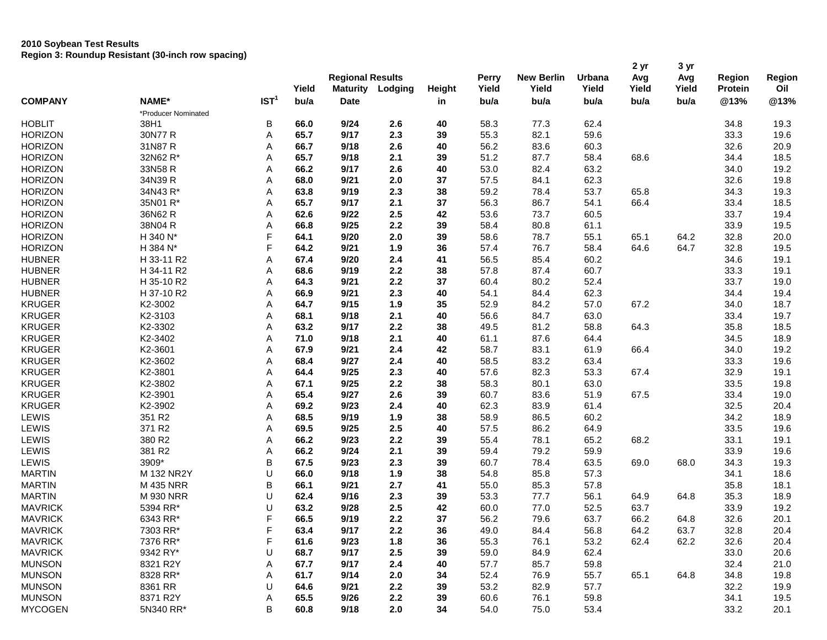# **2010 Soybean Test Results Region 3: Roundup Resistant (30-inch row spacing)**

| <b>COMPANY</b> |                     |                  | Yield | <b>Regional Results</b><br><b>Maturity</b><br>Lodging |     | Height | <b>Perry</b><br>Yield | <b>New Berlin</b><br>Yield | Urbana<br>Yield | 2 yr<br>Avg<br>Yield | 3 yr<br>Avg<br>Yield | Region<br><b>Protein</b> | Region<br>Oil |
|----------------|---------------------|------------------|-------|-------------------------------------------------------|-----|--------|-----------------------|----------------------------|-----------------|----------------------|----------------------|--------------------------|---------------|
|                | NAME*               | IST <sup>1</sup> | bu/a  | <b>Date</b>                                           |     | in     | bu/a                  | bu/a                       | bu/a            | bu/a                 | bu/a                 | @13%                     | @13%          |
|                | *Producer Nominated |                  |       |                                                       |     |        |                       |                            |                 |                      |                      |                          |               |
| <b>HOBLIT</b>  | 38H1                | В                | 66.0  | 9/24                                                  | 2.6 | 40     | 58.3                  | 77.3                       | 62.4            |                      |                      | 34.8                     | 19.3          |
| <b>HORIZON</b> | 30N77 R             | Α                | 65.7  | 9/17                                                  | 2.3 | 39     | 55.3                  | 82.1                       | 59.6            |                      |                      | 33.3                     | 19.6          |
| <b>HORIZON</b> | 31N87 R             | Α                | 66.7  | 9/18                                                  | 2.6 | 40     | 56.2                  | 83.6                       | 60.3            |                      |                      | 32.6                     | 20.9          |
| <b>HORIZON</b> | 32N62 R*            | Α                | 65.7  | 9/18                                                  | 2.1 | 39     | 51.2                  | 87.7                       | 58.4            | 68.6                 |                      | 34.4                     | 18.5          |
| <b>HORIZON</b> | 33N58 R             | Α                | 66.2  | 9/17                                                  | 2.6 | 40     | 53.0                  | 82.4                       | 63.2            |                      |                      | 34.0                     | 19.2          |
| <b>HORIZON</b> | 34N39 R             | Α                | 68.0  | 9/21                                                  | 2.0 | 37     | 57.5                  | 84.1                       | 62.3            |                      |                      | 32.6                     | 19.8          |
| <b>HORIZON</b> | 34N43 R*            | Α                | 63.8  | 9/19                                                  | 2.3 | 38     | 59.2                  | 78.4                       | 53.7            | 65.8                 |                      | 34.3                     | 19.3          |
| <b>HORIZON</b> | 35N01 R*            | Α                | 65.7  | 9/17                                                  | 2.1 | 37     | 56.3                  | 86.7                       | 54.1            | 66.4                 |                      | 33.4                     | 18.5          |
| <b>HORIZON</b> | 36N62 R             | Α                | 62.6  | 9/22                                                  | 2.5 | 42     | 53.6                  | 73.7                       | 60.5            |                      |                      | 33.7                     | 19.4          |
| <b>HORIZON</b> | 38N04 R             | Α                | 66.8  | 9/25                                                  | 2.2 | 39     | 58.4                  | 80.8                       | 61.1            |                      |                      | 33.9                     | 19.5          |
| <b>HORIZON</b> | H 340 N*            | F                | 64.1  | 9/20                                                  | 2.0 | 39     | 58.6                  | 78.7                       | 55.1            | 65.1                 | 64.2                 | 32.8                     | 20.0          |
| <b>HORIZON</b> | H 384 N*            | F                | 64.2  | 9/21                                                  | 1.9 | 36     | 57.4                  | 76.7                       | 58.4            | 64.6                 | 64.7                 | 32.8                     | 19.5          |
| <b>HUBNER</b>  | H 33-11 R2          | Α                | 67.4  | 9/20                                                  | 2.4 | 41     | 56.5                  | 85.4                       | 60.2            |                      |                      | 34.6                     | 19.1          |
| <b>HUBNER</b>  | H 34-11 R2          | Α                | 68.6  | 9/19                                                  | 2.2 | 38     | 57.8                  | 87.4                       | 60.7            |                      |                      | 33.3                     | 19.1          |
| <b>HUBNER</b>  | H 35-10 R2          | Α                | 64.3  | 9/21                                                  | 2.2 | 37     | 60.4                  | 80.2                       | 52.4            |                      |                      | 33.7                     | 19.0          |
| <b>HUBNER</b>  | H 37-10 R2          | Α                | 66.9  | 9/21                                                  | 2.3 | 40     | 54.1                  | 84.4                       | 62.3            |                      |                      | 34.4                     | 19.4          |
| <b>KRUGER</b>  | K2-3002             | Α                | 64.7  | 9/15                                                  | 1.9 | 35     | 52.9                  | 84.2                       | 57.0            | 67.2                 |                      | 34.0                     | 18.7          |
| <b>KRUGER</b>  | K2-3103             | Α                | 68.1  | 9/18                                                  | 2.1 | 40     | 56.6                  | 84.7                       | 63.0            |                      |                      | 33.4                     | 19.7          |
| <b>KRUGER</b>  | K2-3302             | Α                | 63.2  | 9/17                                                  | 2.2 | 38     | 49.5                  | 81.2                       | 58.8            | 64.3                 |                      | 35.8                     | 18.5          |
| <b>KRUGER</b>  | K2-3402             | Α                | 71.0  | 9/18                                                  | 2.1 | 40     | 61.1                  | 87.6                       | 64.4            |                      |                      | 34.5                     | 18.9          |
| <b>KRUGER</b>  | K2-3601             | Α                | 67.9  | 9/21                                                  | 2.4 | 42     | 58.7                  | 83.1                       | 61.9            | 66.4                 |                      | 34.0                     | 19.2          |
| <b>KRUGER</b>  | K2-3602             | А                | 68.4  | 9/27                                                  | 2.4 | 40     | 58.5                  | 83.2                       | 63.4            |                      |                      | 33.3                     | 19.6          |
| <b>KRUGER</b>  | K2-3801             | Α                | 64.4  | 9/25                                                  | 2.3 | 40     | 57.6                  | 82.3                       | 53.3            | 67.4                 |                      | 32.9                     | 19.1          |
| <b>KRUGER</b>  | K2-3802             | Α                | 67.1  | 9/25                                                  | 2.2 | 38     | 58.3                  | 80.1                       | 63.0            |                      |                      | 33.5                     | 19.8          |
| <b>KRUGER</b>  | K2-3901             | Α                | 65.4  | 9/27                                                  | 2.6 | 39     | 60.7                  | 83.6                       | 51.9            | 67.5                 |                      | 33.4                     | 19.0          |
| <b>KRUGER</b>  | K2-3902             | Α                | 69.2  | 9/23                                                  | 2.4 | 40     | 62.3                  | 83.9                       | 61.4            |                      |                      | 32.5                     | 20.4          |
| LEWIS          | 351 R2              | А                | 68.5  | 9/19                                                  | 1.9 | 38     | 58.9                  | 86.5                       | 60.2            |                      |                      | 34.2                     | 18.9          |
| LEWIS          | 371 R2              | Α                | 69.5  | 9/25                                                  | 2.5 | 40     | 57.5                  | 86.2                       | 64.9            |                      |                      | 33.5                     | 19.6          |
| LEWIS          | 380 R2              | Α                | 66.2  | 9/23                                                  | 2.2 | 39     | 55.4                  | 78.1                       | 65.2            | 68.2                 |                      | 33.1                     | 19.1          |
| LEWIS          | 381 R2              | Α                | 66.2  | 9/24                                                  | 2.1 | 39     | 59.4                  | 79.2                       | 59.9            |                      |                      | 33.9                     | 19.6          |
| LEWIS          | 3909*               | В                | 67.5  | 9/23                                                  | 2.3 | 39     | 60.7                  | 78.4                       | 63.5            | 69.0                 | 68.0                 | 34.3                     | 19.3          |
| <b>MARTIN</b>  | M 132 NR2Y          | U                | 66.0  | 9/18                                                  | 1.9 | 38     | 54.8                  | 85.8                       | 57.3            |                      |                      | 34.1                     | 18.6          |
| <b>MARTIN</b>  | M 435 NRR           | В                | 66.1  | 9/21                                                  | 2.7 | 41     | 55.0                  | 85.3                       | 57.8            |                      |                      | 35.8                     | 18.1          |
| <b>MARTIN</b>  | M 930 NRR           | U                | 62.4  | 9/16                                                  | 2.3 | 39     | 53.3                  | 77.7                       | 56.1            | 64.9                 | 64.8                 | 35.3                     | 18.9          |
| <b>MAVRICK</b> | 5394 RR*            | U                | 63.2  | 9/28                                                  | 2.5 | 42     | 60.0                  | 77.0                       | 52.5            | 63.7                 |                      | 33.9                     | 19.2          |
| <b>MAVRICK</b> | 6343 RR*            | F                | 66.5  | 9/19                                                  | 2.2 | 37     | 56.2                  | 79.6                       | 63.7            | 66.2                 | 64.8                 | 32.6                     | 20.1          |
| <b>MAVRICK</b> | 7303 RR*            | $\mathsf F$      | 63.4  | 9/17                                                  | 2.2 | 36     | 49.0                  | 84.4                       | 56.8            | 64.2                 | 63.7                 | 32.8                     | 20.4          |
| <b>MAVRICK</b> | 7376 RR*            | F                | 61.6  | 9/23                                                  | 1.8 | 36     | 55.3                  | 76.1                       | 53.2            | 62.4                 | 62.2                 | 32.6                     | 20.4          |
| <b>MAVRICK</b> | 9342 RY*            | U                | 68.7  | 9/17                                                  | 2.5 | 39     | 59.0                  | 84.9                       | 62.4            |                      |                      | 33.0                     | 20.6          |
| <b>MUNSON</b>  | 8321 R2Y            | Α                | 67.7  | 9/17                                                  | 2.4 | 40     | 57.7                  | 85.7                       | 59.8            |                      |                      | 32.4                     | 21.0          |
| <b>MUNSON</b>  | 8328 RR*            | Α                | 61.7  | 9/14                                                  | 2.0 | 34     | 52.4                  | 76.9                       | 55.7            | 65.1                 | 64.8                 | 34.8                     | 19.8          |
| <b>MUNSON</b>  | 8361 RR             | U                | 64.6  | 9/21                                                  | 2.2 | 39     | 53.2                  | 82.9                       | 57.7            |                      |                      | 32.2                     | 19.9          |
| <b>MUNSON</b>  | 8371 R2Y            | Α                | 65.5  | 9/26                                                  | 2.2 | 39     | 60.6                  | 76.1                       | 59.8            |                      |                      | 34.1                     | 19.5          |
| <b>MYCOGEN</b> | 5N340 RR*           | B                | 60.8  | 9/18                                                  | 2.0 | 34     | 54.0                  | 75.0                       | 53.4            |                      |                      | 33.2                     | 20.1          |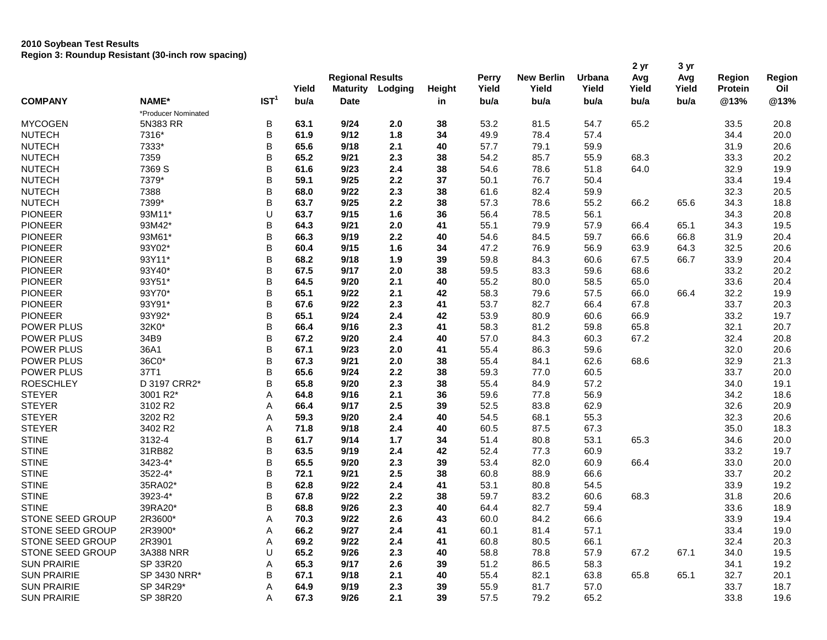# **2010 Soybean Test Results Region 3: Roundup Resistant (30-inch row spacing)**

|                    |                     |                  |       | <b>Regional Results</b> |         |        | Perry | <b>New Berlin</b> | Urbana | 2 yr<br>Avg | 3 yr<br>Avg | Region  | Region |
|--------------------|---------------------|------------------|-------|-------------------------|---------|--------|-------|-------------------|--------|-------------|-------------|---------|--------|
|                    |                     |                  | Yield | <b>Maturity</b>         | Lodging | Height | Yield | Yield             | Yield  | Yield       | Yield       | Protein | Oil    |
| <b>COMPANY</b>     | <b>NAME*</b>        | IST <sup>1</sup> | bu/a  | <b>Date</b>             |         | in     | bu/a  | bu/a              | bu/a   | bu/a        | bu/a        | @13%    | @13%   |
|                    | *Producer Nominated |                  |       |                         |         |        |       |                   |        |             |             |         |        |
| <b>MYCOGEN</b>     | 5N383 RR            | В                | 63.1  | 9/24                    | 2.0     | 38     | 53.2  | 81.5              | 54.7   | 65.2        |             | 33.5    | 20.8   |
| <b>NUTECH</b>      | 7316*               | B                | 61.9  | 9/12                    | 1.8     | 34     | 49.9  | 78.4              | 57.4   |             |             | 34.4    | 20.0   |
| <b>NUTECH</b>      | 7333*               | B                | 65.6  | 9/18                    | 2.1     | 40     | 57.7  | 79.1              | 59.9   |             |             | 31.9    | 20.6   |
| <b>NUTECH</b>      | 7359                | B                | 65.2  | 9/21                    | 2.3     | 38     | 54.2  | 85.7              | 55.9   | 68.3        |             | 33.3    | 20.2   |
| <b>NUTECH</b>      | 7369 S              | B                | 61.6  | 9/23                    | 2.4     | 38     | 54.6  | 78.6              | 51.8   | 64.0        |             | 32.9    | 19.9   |
| <b>NUTECH</b>      | 7379*               | В                | 59.1  | 9/25                    | 2.2     | 37     | 50.1  | 76.7              | 50.4   |             |             | 33.4    | 19.4   |
| <b>NUTECH</b>      | 7388                | B                | 68.0  | 9/22                    | 2.3     | 38     | 61.6  | 82.4              | 59.9   |             |             | 32.3    | 20.5   |
| <b>NUTECH</b>      | 7399*               | B                | 63.7  | 9/25                    | 2.2     | 38     | 57.3  | 78.6              | 55.2   | 66.2        | 65.6        | 34.3    | 18.8   |
| <b>PIONEER</b>     | 93M11*              | U                | 63.7  | 9/15                    | 1.6     | 36     | 56.4  | 78.5              | 56.1   |             |             | 34.3    | 20.8   |
| <b>PIONEER</b>     | 93M42*              | B                | 64.3  | 9/21                    | 2.0     | 41     | 55.1  | 79.9              | 57.9   | 66.4        | 65.1        | 34.3    | 19.5   |
| <b>PIONEER</b>     | 93M61*              | B                | 66.3  | 9/19                    | 2.2     | 40     | 54.6  | 84.5              | 59.7   | 66.6        | 66.8        | 31.9    | 20.4   |
| <b>PIONEER</b>     | 93Y02*              | B                | 60.4  | 9/15                    | 1.6     | 34     | 47.2  |                   | 56.9   |             |             | 32.5    | 20.6   |
| <b>PIONEER</b>     | 93Y11*              | B                | 68.2  | 9/18                    |         |        |       | 76.9              |        | 63.9        | 64.3        |         |        |
|                    |                     |                  |       |                         | 1.9     | 39     | 59.8  | 84.3              | 60.6   | 67.5        | 66.7        | 33.9    | 20.4   |
| <b>PIONEER</b>     | 93Y40*              | B                | 67.5  | 9/17                    | 2.0     | 38     | 59.5  | 83.3              | 59.6   | 68.6        |             | 33.2    | 20.2   |
| <b>PIONEER</b>     | 93Y51*              | B                | 64.5  | 9/20                    | 2.1     | 40     | 55.2  | 80.0              | 58.5   | 65.0        |             | 33.6    | 20.4   |
| <b>PIONEER</b>     | 93Y70*              | B                | 65.1  | 9/22                    | 2.1     | 42     | 58.3  | 79.6              | 57.5   | 66.0        | 66.4        | 32.2    | 19.9   |
| <b>PIONEER</b>     | 93Y91*              | B                | 67.6  | 9/22                    | 2.3     | 41     | 53.7  | 82.7              | 66.4   | 67.8        |             | 33.7    | 20.3   |
| <b>PIONEER</b>     | 93Y92*              | B                | 65.1  | 9/24                    | 2.4     | 42     | 53.9  | 80.9              | 60.6   | 66.9        |             | 33.2    | 19.7   |
| POWER PLUS         | 32K0*               | B                | 66.4  | 9/16                    | 2.3     | 41     | 58.3  | 81.2              | 59.8   | 65.8        |             | 32.1    | 20.7   |
| POWER PLUS         | 34B9                | B                | 67.2  | 9/20                    | 2.4     | 40     | 57.0  | 84.3              | 60.3   | 67.2        |             | 32.4    | 20.8   |
| POWER PLUS         | 36A1                | B                | 67.1  | 9/23                    | 2.0     | 41     | 55.4  | 86.3              | 59.6   |             |             | 32.0    | 20.6   |
| POWER PLUS         | 36C0*               | B                | 67.3  | 9/21                    | 2.0     | 38     | 55.4  | 84.1              | 62.6   | 68.6        |             | 32.9    | 21.3   |
| POWER PLUS         | 37T1                | B                | 65.6  | 9/24                    | 2.2     | 38     | 59.3  | 77.0              | 60.5   |             |             | 33.7    | 20.0   |
| <b>ROESCHLEY</b>   | D 3197 CRR2*        | B                | 65.8  | 9/20                    | 2.3     | 38     | 55.4  | 84.9              | 57.2   |             |             | 34.0    | 19.1   |
| <b>STEYER</b>      | 3001 R2*            | A                | 64.8  | 9/16                    | 2.1     | 36     | 59.6  | 77.8              | 56.9   |             |             | 34.2    | 18.6   |
| <b>STEYER</b>      | 3102 R2             | Α                | 66.4  | 9/17                    | 2.5     | 39     | 52.5  | 83.8              | 62.9   |             |             | 32.6    | 20.9   |
| <b>STEYER</b>      | 3202 R2             | Α                | 59.3  | 9/20                    | 2.4     | 40     | 54.5  | 68.1              | 55.3   |             |             | 32.3    | 20.6   |
| <b>STEYER</b>      | 3402 R2             | Α                | 71.8  | 9/18                    | 2.4     | 40     | 60.5  | 87.5              | 67.3   |             |             | 35.0    | 18.3   |
| <b>STINE</b>       | 3132-4              | B                | 61.7  | 9/14                    | 1.7     | 34     | 51.4  | 80.8              | 53.1   | 65.3        |             | 34.6    | 20.0   |
| <b>STINE</b>       | 31RB82              | B                | 63.5  | 9/19                    | 2.4     | 42     | 52.4  | 77.3              | 60.9   |             |             | 33.2    | 19.7   |
| <b>STINE</b>       | 3423-4*             | B                | 65.5  | 9/20                    | 2.3     | 39     | 53.4  | 82.0              | 60.9   | 66.4        |             | 33.0    | 20.0   |
| <b>STINE</b>       | 3522-4*             | B                | 72.1  | 9/21                    | 2.5     | 38     | 60.8  | 88.9              | 66.6   |             |             | 33.7    | 20.2   |
| <b>STINE</b>       | 35RA02*             | B                | 62.8  | 9/22                    | 2.4     | 41     | 53.1  | 80.8              | 54.5   |             |             | 33.9    | 19.2   |
| <b>STINE</b>       | 3923-4*             | B                | 67.8  | 9/22                    | 2.2     | 38     | 59.7  | 83.2              | 60.6   | 68.3        |             | 31.8    | 20.6   |
| <b>STINE</b>       | 39RA20*             | В                | 68.8  | 9/26                    | 2.3     | 40     | 64.4  | 82.7              | 59.4   |             |             | 33.6    | 18.9   |
| STONE SEED GROUP   | 2R3600*             | А                | 70.3  | 9/22                    | 2.6     | 43     | 60.0  | 84.2              | 66.6   |             |             | 33.9    | 19.4   |
| STONE SEED GROUP   | 2R3900*             | Α                | 66.2  | 9/27                    | 2.4     | 41     | 60.1  | 81.4              | 57.1   |             |             | 33.4    | 19.0   |
| STONE SEED GROUP   | 2R3901              | A                | 69.2  | 9/22                    | 2.4     | 41     | 60.8  | 80.5              | 66.1   |             |             | 32.4    | 20.3   |
| STONE SEED GROUP   | 3A388 NRR           | U                | 65.2  | 9/26                    | 2.3     | 40     | 58.8  | 78.8              | 57.9   | 67.2        | 67.1        | 34.0    | 19.5   |
| <b>SUN PRAIRIE</b> | SP 33R20            | A                | 65.3  | 9/17                    | 2.6     | 39     | 51.2  | 86.5              | 58.3   |             |             | 34.1    | 19.2   |
| <b>SUN PRAIRIE</b> | SP 3430 NRR*        | B                | 67.1  | 9/18                    | 2.1     | 40     | 55.4  | 82.1              | 63.8   | 65.8        | 65.1        | 32.7    | 20.1   |
| <b>SUN PRAIRIE</b> | SP 34R29*           | A                | 64.9  | 9/19                    | 2.3     | 39     | 55.9  | 81.7              | 57.0   |             |             | 33.7    | 18.7   |
| <b>SUN PRAIRIE</b> | SP 38R20            | A                | 67.3  | 9/26                    | 2.1     | 39     | 57.5  | 79.2              | 65.2   |             |             | 33.8    | 19.6   |
|                    |                     |                  |       |                         |         |        |       |                   |        |             |             |         |        |